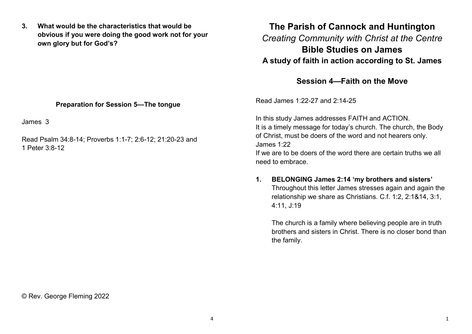**3. What would be the characteristics that would be obvious if you were doing the good work not for your own glory but for God's?**

### **Preparation for Session 5—The tongue**

James 3

Read Psalm 34:8-14; Proverbs 1:1-7; 2:6-12; 21:20-23 and 1 Peter 3:8-12

# **The Parish of Cannock and Huntington** *Creating Community with Christ at the Centre* **Bible Studies on James A study of faith in action according to St. James**

## **Session 4—Faith on the Move**

Read James 1:22-27 and 2:14-25

In this study James addresses FAITH and ACTION. It is a timely message for today's church. The church, the Body of Christ, must be doers of the word and not hearers only. James 1:22

If we are to be doers of the word there are certain truths we all need to embrace.

## **1. BELONGING James 2:14 'my brothers and sisters'** Throughout this letter James stresses again and again the relationship we share as Christians. C.f. 1:2, 2:1&14, 3:1, 4:11, J:19

The church is a family where believing people are in truth brothers and sisters in Christ. There is no closer bond than the family.